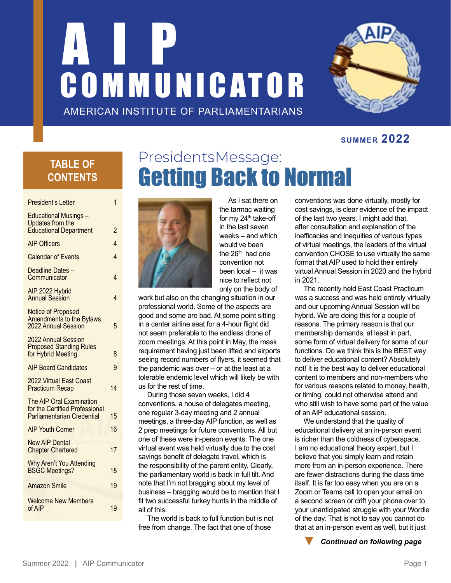# AND D COMMUNICATOR AMERICAN INSTITUTE OF PARLIAMENTARIANS



### **SUMMER 2022**

## **TABLE OF CONTENTS**

| President's Letter                                                                                     | 1              |
|--------------------------------------------------------------------------------------------------------|----------------|
| <b>Educational Musings -</b><br>Updates from the<br><b>Educational Department</b>                      | 2              |
| <b>AIP Officers</b>                                                                                    | $\overline{4}$ |
| <b>Calendar of Events</b>                                                                              | 4              |
| Deadline Dates -<br>Communicator                                                                       | 4              |
| AIP 2022 Hybrid<br><b>Annual Session</b>                                                               | 4              |
| <b>Notice of Proposed</b><br><b>Amendments to the Bylaws</b><br>2022 Annual Session                    | 5              |
| 2022 Annual Session<br><b>Proposed Standing Rules</b><br>for Hybrid Meeting                            | 8              |
| <b>AIP Board Candidates</b>                                                                            | 9              |
| 2022 Virtual East Coast<br><b>Practicum Recap</b>                                                      | 14             |
| <b>The AIP Oral Examination</b><br>for the Certified Professional<br><b>Parliamentarian Credential</b> | 15             |
| <b>AIP Youth Corner</b>                                                                                | 16             |
| <b>New AIP Dental</b><br><b>Chapter Chartered</b>                                                      | 17             |
| <b>Why Aren't You Attending</b><br><b>BSGC Meetings?</b>                                               | 18             |
| <b>Amazon Smile</b>                                                                                    | 19             |
| <b>Welcome New Members</b><br>of AIP                                                                   | 19             |
|                                                                                                        |                |

## Presidents Message: Getting Back to Normal



As I sat there on the tarmac waiting for my 24<sup>th</sup> take-off in the last seven weeks – and which would've been the  $26<sup>th</sup>$  had one convention not been local – it was nice to reflect not only on the body of

work but also on the changing situation in our professional world. Some of the aspects are good and some are bad. At some point sitting in a center airline seat for a 4-hour flight did not seem preferable to the endless drone of zoom meetings. At this point in May, the mask requirement having just been lifted and airports seeing record numbers of flyers, it seemed that the pandemic was over – or at the least at a tolerable endemic level which will likely be with us for the rest of time.

During those seven weeks, I did 4 conventions, a house of delegates meeting, one regular 3-day meeting and 2 annual meetings, a three-day AIP function, as well as 2 prep meetings for future conventions. All but one of these were in-person events. The one virtual event was held virtually due to the cost savings benefit of delegate travel, which is the responsibility of the parent entity. Clearly, the parliamentary world is back in full tilt. And note that I'm not bragging about my level of business – bragging would be to mention that I fit two successful turkey hunts in the middle of all of this.

The world is back to full function but is not free from change. The fact that one of those

conventions was done virtually, mostly for cost savings, is clear evidence of the impact of the last two years. I might add that, after consultation and explanation of the inefficacies and inequities of various types of virtual meetings, the leaders of the virtual convention CHOSE to use virtually the same format that AIP used to hold their entirely virtual Annual Session in 2020 and the hybrid in 2021.

The recently held East Coast Practicum was a success and was held entirely virtually and our upcoming Annual Session will be hybrid. We are doing this for a couple of reasons. The primary reason is that our membership demands, at least in part, some form of virtual delivery for some of our functions. Do we think this is the BEST way to deliver educational content? Absolutely not! It is the best way to deliver educational content to members and non-members who for various reasons related to money, health, or timing, could not otherwise attend and who still wish to have some part of the value of an AIP educational session.

We understand that the quality of educational delivery at an in-person event is richer than the coldness of cyberspace. I am no educational theory expert, but I believe that you simply learn and retain more from an in-person experience. There are fewer distractions during the class time itself. It is far too easy when you are on a Zoom or Teams call to open your email on a second screen or drift your phone over to your unanticipated struggle with your Wordle of the day. That is not to say you cannot do that at an in-person event as well, but it just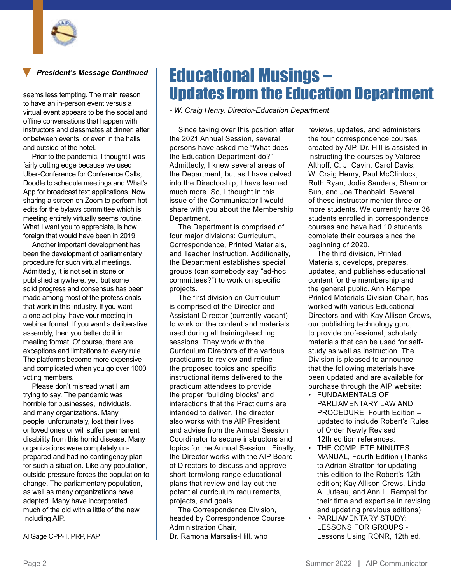

*President's Message Continued*

seems less tempting. The main reason to have an in-person event versus a virtual event appears to be the social and offline conversations that happen with instructors and classmates at dinner, after or between events, or even in the halls and outside of the hotel.

Prior to the pandemic, I thought I was fairly cutting edge because we used Uber-Conference for Conference Calls, Doodle to schedule meetings and What's App for broadcast text applications. Now, sharing a screen on Zoom to perform hot edits for the bylaws committee which is meeting entirely virtually seems routine. What I want you to appreciate, is how foreign that would have been in 2019.

Another important development has been the development of parliamentary procedure for such virtual meetings. Admittedly, it is not set in stone or published anywhere, yet, but some solid progress and consensus has been made among most of the professionals that work in this industry. If you want a one act play, have your meeting in webinar format. If you want a deliberative assembly, then you better do it in meeting format. Of course, there are exceptions and limitations to every rule. The platforms become more expensive and complicated when you go over 1000 voting members.

Please don't misread what I am trying to say. The pandemic was horrible for businesses, individuals, and many organizations. Many people, unfortunately, lost their lives or loved ones or will suffer permanent disability from this horrid disease. Many organizations were completely unprepared and had no contingency plan for such a situation. Like any population, outside pressure forces the population to change. The parliamentary population, as well as many organizations have adapted. Many have incorporated much of the old with a little of the new. Including AIP.

Al Gage CPP-T, PRP, PAP

## Educational Musings – Updates from the Education Department

*- W. Craig Henry, Director-Education Department*

Since taking over this position after the 2021 Annual Session, several persons have asked me "What does the Education Department do?" Admittedly, I knew several areas of the Department, but as I have delved into the Directorship, I have learned much more. So, I thought in this issue of the Communicator I would share with you about the Membership Department.

The Department is comprised of four major divisions: Curriculum, Correspondence, Printed Materials, and Teacher Instruction. Additionally, the Department establishes special groups (can somebody say "ad-hoc committees?") to work on specific projects.

The first division on Curriculum is comprised of the Director and Assistant Director (currently vacant) to work on the content and materials used during all training/teaching sessions. They work with the Curriculum Directors of the various practicums to review and refine the proposed topics and specific instructional items delivered to the practicum attendees to provide the proper "building blocks" and interactions that the Practicums are intended to deliver. The director also works with the AIP President and advise from the Annual Session Coordinator to secure instructors and topics for the Annual Session. Finally, the Director works with the AIP Board of Directors to discuss and approve short-term/long-range educational plans that review and lay out the potential curriculum requirements, projects, and goals.

The Correspondence Division, headed by Correspondence Course Administration Chair, Dr. Ramona Marsalis-Hill, who

reviews, updates, and administers the four correspondence courses created by AIP. Dr. Hill is assisted in instructing the courses by Valoree Althoff, C. J. Cavin, Carol Davis, W. Craig Henry, Paul McClintock, Ruth Ryan, Jodie Sanders, Shannon Sun, and Joe Theobald. Several of these instructor mentor three or more students. We currently have 36 students enrolled in correspondence courses and have had 10 students complete their courses since the beginning of 2020.

The third division, Printed Materials, develops, prepares, updates, and publishes educational content for the membership and the general public. Ann Rempel, Printed Materials Division Chair, has worked with various Educational Directors and with Kay Allison Crews, our publishing technology guru, to provide professional, scholarly materials that can be used for selfstudy as well as instruction. The Division is pleased to announce that the following materials have been updated and are available for purchase through the AIP website:

- FUNDAMENTALS OF PARLIAMENTARY LAW AND PROCEDURE, Fourth Edition – updated to include Robert's Rules of Order Newly Revised 12th edition references.
- THE COMPLETE MINUTES MANUAL, Fourth Edition (Thanks to Adrian Stratton for updating this edition to the Robert's 12th edition; Kay Allison Crews, Linda A. Juteau, and Ann L. Rempel for their time and expertise in revising and updating previous editions)
- PARLIAMENTARY STUDY: LESSONS FOR GROUPS - Lessons Using RONR, 12th ed.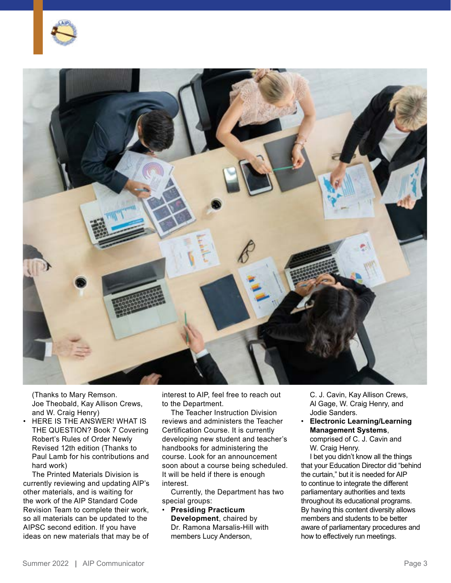



(Thanks to Mary Remson. Joe Theobald, Kay Allison Crews, and W. Craig Henry)

• HERE IS THE ANSWER! WHAT IS THE QUESTION? Book 7 Covering Robert's Rules of Order Newly Revised 12th edition (Thanks to Paul Lamb for his contributions and hard work)

The Printed Materials Division is currently reviewing and updating AIP's other materials, and is waiting for the work of the AIP Standard Code Revision Team to complete their work, so all materials can be updated to the AIPSC second edition. If you have ideas on new materials that may be of

interest to AIP, feel free to reach out to the Department.

The Teacher Instruction Division reviews and administers the Teacher Certification Course. It is currently developing new student and teacher's handbooks for administering the course. Look for an announcement soon about a course being scheduled. It will be held if there is enough interest.

Currently, the Department has two special groups:

• **Presiding Practicum Development**, chaired by Dr. Ramona Marsalis-Hill with members Lucy Anderson,

C. J. Cavin, Kay Allison Crews, Al Gage, W. Craig Henry, and Jodie Sanders.

• **Electronic Learning/Learning Management Systems**,

comprised of C. J. Cavin and W. Craig Henry.

I bet you didn't know all the things that your Education Director did "behind the curtain," but it is needed for AIP to continue to integrate the different parliamentary authorities and texts throughout its educational programs. By having this content diversity allows members and students to be better aware of parliamentary procedures and how to effectively run meetings.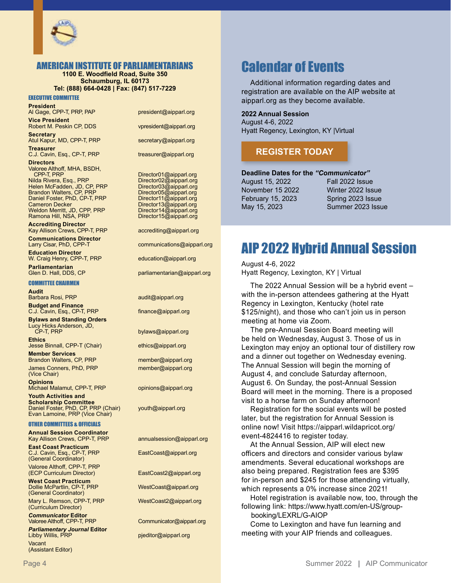

#### AMERICAN INSTITUTE OF PARLIAMENTARIANS

**1100 E. Woodfield Road, Suite 350 Schaumburg, IL 60173 Tel: (888) 664-0428 | Fax: (847) 517-7229**

EXECUTIVE COMMITTEE

#### **President**

Al Gage, CPP-T, PRP, PAP president@aipparl.org

**Vice President** Robert M. Peskin CP, DDS vpresident@aipparl.org **Secretary**

**Treasurer**

C.J. Cavin, Esq., CP-T, PRP treasurer@aipparl.org **Directors**

Valoree Althoff, MHA, BSDH, Nilda Rivera, Esq., PRP Director02@aipparl.org<br>
Helen McFadden, JD, CP, PRP Director03@aipparl.org<br>
Brandon Walters, CP, PRP Director05@aipparl.org Helen McFadden, JD, CP, PRP Director03@aipparl.org Brandon Walters, CP, PRP Director05@aipparl.org Daniel Foster, PhD, CP-T, PRP Director11@aipparl.org Weldon Merritt, JD, CPP, PRP Director14@aipparl.org<br>
Ramona Hill, NSA, PRP Director15@aipparl.org Ramona Hill, NSA, PRP

**Accrediting Director** Kay Allison Crews, CPP-T, PRP accrediting@aipparl.org

**Communications Director**

**Education Director** W. Craig Henry, CPP-T, PRP education@aipparl.org

**Parliamentarian**

#### COMMITTEE CHAIRMEN

**Audit** Barbara Rosi, PRP audit@aipparl.org

**Budget and Finance** C.J. Cavin, Esq., CP-T, PRP finance@aipparl.org

**Bylaws and Standing Orders** Lucy Hicks Anderson, JD,

**Ethics** Jesse Binnall, CPP-T (Chair) ethics@aipparl.org

**Member Services** Brandon Walters, CP, PRP member@aipparl.org James Conners, PhD, PRP member@aipparl.org (Vice Chair)

**Opinions** Michael Malamut, CPP-T, PRP opinions@aipparl.org

**Youth Activities and Scholarship Committee** Daniel Foster, PhD, CP, PRP (Chair) youth@aipparl.org Evan Lamoine, PRP (Vice Chair)

#### OTHER COMMITTEES & OFFICIALS

**Annual Session Coordinator** Kay Allison Crews, CPP-T, PRP annualsession@aipparl.org

**East Coast Practicum** C.J. Cavin, Esq., CP-T, PRP EastCoast@aipparl.org (General Coordinator)

Valoree Althoff, CPP-T, PRP

**West Coast Practicum** Dollie McPartlin, CP-T, PRP WestCoast@aipparl.org (General Coordinator)

Mary L. Remson, CPP-T, PRP WestCoast2@aipparl.org (Curriculum Director)

*Communicator* **Editor** Valoree Althoff, CPP-T, PRP Communicator@aipparl.org

*Parliamentary Journal* **Editor** Vacant (Assistant Editor)

Atul Kapur, MD, CPP-T, PRP secretary@aipparl.org

Director01@aipparl.org<br>Director02@aipparl.org Director13@aipparl.org<br>Director14@aipparl.org

communications@aipparl.org

parliamentarian@aipparl.org

bylaws@aipparl.org

EastCoast2@aipparl.org

pjeditor@aipparl.org

## Calendar of Events

Additional information regarding dates and registration are available on the AIP website at aipparl.org as they become available.

#### **2022 Annual Session**

August 4-6, 2022 Hyatt Regency, Lexington, KY |Virtual

#### **[REGISTER TODAY](https://aipparl.wildapricot.org/event-4824416)**

**Deadline Dates for the** *"Communicator"*

November 15 2022 Winter 2022 Issue February 15, 2023 Spring 2023 Issue

August 15, 2022 Fall 2022 Issue May 15, 2023 Summer 2023 Issue

## AIP 2022 Hybrid Annual Session

August 4-6, 2022 Hyatt Regency, Lexington, KY | Virtual

The 2022 Annual Session will be a hybrid event – with the in-person attendees gathering at the Hyatt Regency in Lexington, Kentucky (hotel rate \$125/night), and those who can't join us in person meeting at home via Zoom.

The pre-Annual Session Board meeting will be held on Wednesday, August 3. Those of us in Lexington may enjoy an optional tour of distillery row and a dinner out together on Wednesday evening. The Annual Session will begin the morning of August 4, and conclude Saturday afternoon, August 6. On Sunday, the post-Annual Session Board will meet in the morning. There is a proposed visit to a horse farm on Sunday afternoon!

Registration for the social events will be posted later, but the registration for Annual Session is online now! Visit [https://aipparl.wildapricot.org/](https://aipparl.wildapricot.org/event-4824416) [event-4824416](https://aipparl.wildapricot.org/event-4824416) to register today.

At the Annual Session, AIP will elect new officers and directors and consider various bylaw amendments. Several educational workshops are also being prepared. Registration fees are \$395 for in-person and \$245 for those attending virtually, which represents a 0% increase since 2021!

Hotel registration is available now, too, through the following link: [https://www.hyatt.com/en-US/group](https://www.hyatt.com/en-US/group-booking/LEXRL/G-AIOP)[booking/LEXRL/G-AIOP](https://www.hyatt.com/en-US/group-booking/LEXRL/G-AIOP)

Come to Lexington and have fun learning and meeting with your AIP friends and colleagues.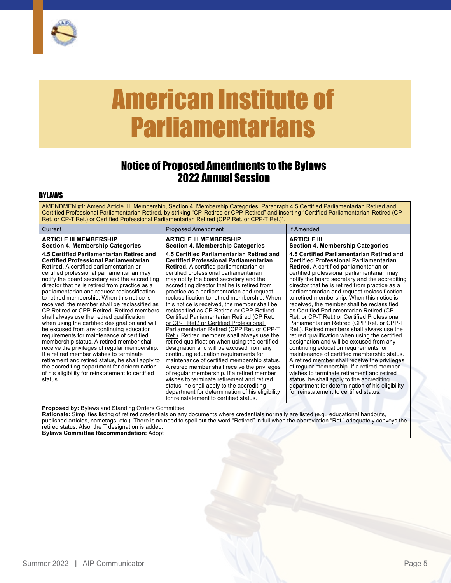<span id="page-4-0"></span>

## American Institute of Parliamentarians

### Notice of Proposed Amendments to the Bylaws 2022 Annual Session

#### BYLAWS

AMENDMEN #1: Amend Article III, Membership, Section 4, Membership Categories, Paragraph 4.5 Certified Parliamentarian Retired and Certified Professional Parliamentarian Retired, by striking "CP-Retired or CPP-Retired" and inserting "Certified Parliamentarian-Retired (CP Ret. or CP-T Ret.) or Certified Professional Parliamentarian Retired (CPP Ret. or CPP-T Ret.)". Current **Proposed Amendment** If Amended **ARTICLE III MEMBERSHIP Section 4. Membership Categories 4.5 Certified Parliamentarian Retired and Certified Professional Parliamentarian Retired.** A certified parliamentarian or certified professional parliamentarian may notify the board secretary and the accrediting director that he is retired from practice as a parliamentarian and request reclassification to retired membership. When this notice is received, the member shall be reclassified as CP Retired or CPP-Retired. Retired members shall always use the retired qualification when using the certified designation and will be excused from any continuing education requirements for maintenance of certified membership status. A retired member shall receive the privileges of regular membership. If a retired member wishes to terminate retirement and retired status, he shall apply to the accrediting department for determination of his eligibility for reinstatement to certified status. **ARTICLE III MEMBERSHIP Section 4. Membership Categories 4.5 Certified Parliamentarian Retired and Certified Professional Parliamentarian Retired.** A certified parliamentarian or certified professional parliamentarian may notify the board secretary and the accrediting director that he is retired from practice as a parliamentarian and request reclassification to retired membership. When this notice is received, the member shall be reclassified as CP Retired or CPP-Retired Certified Parliamentarian Retired (CP Ret. or CP-T Ret.) or Certified Professional Parliamentarian Retired (CPP Ret. or CPP-T Ret.). Retired members shall always use the retired qualification when using the certified designation and will be excused from any continuing education requirements for maintenance of certified membership status. A retired member shall receive the privileges of regular membership. If a retired member wishes to terminate retirement and retired status, he shall apply to the accrediting department for determination of his eligibility for reinstatement to certified status. **ARTICLE III Section 4. Membership Categories 4.5 Certified Parliamentarian Retired and Certified Professional Parliamentarian Retired.** A certified parliamentarian or certified professional parliamentarian may notify the board secretary and the accrediting director that he is retired from practice as a parliamentarian and request reclassification to retired membership. When this notice is received, the member shall be reclassified as Certified Parliamentarian Retired (CP Ret. or CP-T Ret.) or Certified Professional Parliamentarian Retired (CPP Ret. or CPP-T Ret.). Retired members shall always use the retired qualification when using the certified designation and will be excused from any continuing education requirements for maintenance of certified membership status. A retired member shall receive the privileges of regular membership. If a retired member wishes to terminate retirement and retired status, he shall apply to the accrediting department for determination of his eligibility for reinstatement to certified status.

**Proposed by:** Bylaws and Standing Orders Committee

**Rationale:** Simplifies listing of retired credentials on any documents where credentials normally are listed (e.g., educational handouts, published articles, nametags, etc.). There is no need to spell out the word "Retired" in full when the abbreviation "Ret." adequately conveys the retired status. Also, the T designation is added.

**Bylaws Committee Recommendation:** Adopt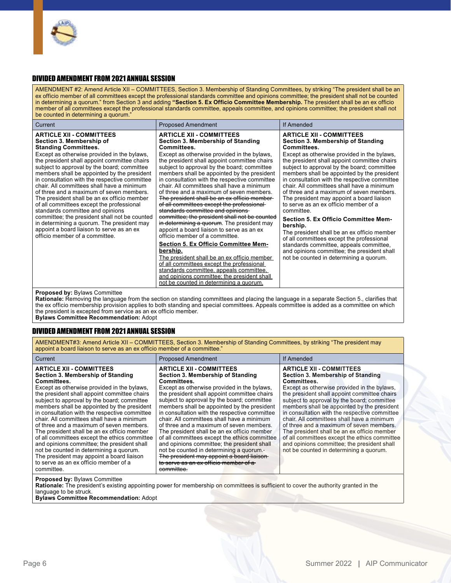

#### DIVIDED AMENDMENT FROM 2021 ANNUAL SESSION

AMENDMENT #2: Amend Article XII – COMMITTEES, Section 3. Membership of Standing Committees, by striking "The president shall be an ex officio member of all committees except the professional standards committee and opinions committee; the president shall not be counted in determining a quorum." from Section 3 and adding **"Section 5. Ex Officio Committee Membership.** The president shall be an ex officio member of all committees except the professional standards committee, appeals committee, and opinions committee; the president shall not be counted in determining a quorum.'

| <b>ARTICLE XII - COMMITTEES</b><br><b>ARTICLE XII - COMMITTEES</b><br><b>ARTICLE XII - COMMITTEES</b><br>Section 3. Membership of Standing<br>Section 3. Membership of Standing<br>Section 3. Membership of<br><b>Standing Committees.</b><br>Committees.<br>Committees.<br>Except as otherwise provided in the bylaws.<br>Except as otherwise provided in the bylaws,<br>Except as otherwise provided in the bylaws,<br>the president shall appoint committee chairs<br>the president shall appoint committee chairs<br>the president shall appoint committee chairs<br>subject to approval by the board; committee<br>subject to approval by the board; committee<br>subject to approval by the board; committee<br>members shall be appointed by the president<br>members shall be appointed by the president<br>in consultation with the respective committee<br>in consultation with the respective committee<br>chair. All committees shall have a minimum<br>chair. All committees shall have a minimum<br>chair. All committees shall have a minimum<br>of three and a maximum of seven members.<br>of three and a maximum of seven members.<br>of three and a maximum of seven members.<br>The president shall be an ex officio member-<br>The president shall be an ex officio member<br>The president may appoint a board liaison<br>of all committees except the professional-<br>of all committees except the professional<br>to serve as an ex officio member of a | Current | <b>Proposed Amendment</b> | If Amended                                                                                   |
|----------------------------------------------------------------------------------------------------------------------------------------------------------------------------------------------------------------------------------------------------------------------------------------------------------------------------------------------------------------------------------------------------------------------------------------------------------------------------------------------------------------------------------------------------------------------------------------------------------------------------------------------------------------------------------------------------------------------------------------------------------------------------------------------------------------------------------------------------------------------------------------------------------------------------------------------------------------------------------------------------------------------------------------------------------------------------------------------------------------------------------------------------------------------------------------------------------------------------------------------------------------------------------------------------------------------------------------------------------------------------------------------------------------------------------------------------------------------------------|---------|---------------------------|----------------------------------------------------------------------------------------------|
| standards committee and opinions<br>standards committee and opinions<br>committee.<br>committee; the president shall not be counted<br>committee; the president shall not be counted<br><b>Section 5. Ex Officio Committee Mem-</b><br>in determining a quorum. The president may<br>in determining a quorum. The president may<br>bership.<br>appoint a board liaison to serve as an ex<br>appoint a board liaison to serve as an ex<br>The president shall be an ex officio member<br>officio member of a committee.<br>officio member of a committee.<br>of all committees except the professional<br><b>Section 5. Ex Officio Committee Mem-</b><br>standards committee, appeals committee,<br>bership.<br>and opinions committee; the president shall<br>The president shall be an ex officio member<br>not be counted in determining a quorum.<br>of all committees except the professional<br>standards committee, appeals committee,<br>and opinions committee; the president shall<br>not be counted in determining a guorum.                                                                                                                                                                                                                                                                                                                                                                                                                                           |         |                           | members shall be appointed by the president<br>in consultation with the respective committee |

#### **Proposed by:** Bylaws Committee

**Rationale:** Removing the language from the section on standing committees and placing the language in a separate Section 5., clarifies that the ex officio membership provision applies to both standing and special committees. Appeals committee is added as a committee on which the president is excepted from service as an ex officio member.

**Bylaws Committee Recommendation:** Adopt

#### DIVIDED AMENDMENT FROM 2021 ANNUAL SESSION

AMENDMENT#3: Amend Article XII – COMMITTEES, Section 3. Membership of Standing Committees, by striking "The president may appoint a board liaison to serve as an ex officio member of a committee."

| <b>ARTICLE XII - COMMITTEES</b><br><b>ARTICLE XII - COMMITTEES</b><br><b>ARTICLE XII - COMMITTEES</b><br>Section 3. Membership of Standing<br>Section 3. Membership of Standing<br>Section 3. Membership of Standing<br><b>Committees.</b><br>Committees.<br>Committees.<br>Except as otherwise provided in the bylaws.<br>Except as otherwise provided in the bylaws.<br>Except as otherwise provided in the bylaws.<br>the president shall appoint committee chairs<br>the president shall appoint committee chairs<br>subject to approval by the board; committee<br>subject to approval by the board; committee<br>members shall be appointed by the president<br>members shall be appointed by the president<br>in consultation with the respective committee<br>in consultation with the respective committee<br>chair. All committees shall have a minimum<br>chair. All committees shall have a minimum<br>chair. All committees shall have a minimum<br>of three and a maximum of seven members.<br>of three and a maximum of seven members.<br>of three and a maximum of seven members.<br>The president shall be an ex officio member<br>The president shall be an ex officio member<br>of all committees except the ethics committee<br>of all committees except the ethics committee<br>and opinions committee; the president shall<br>and opinions committee; the president shall<br>not be counted in determining a guorum.-<br>not be counted in determining a guorum.<br>not be counted in determining a quorum. | Current                                   | <b>Proposed Amendment</b>                  | If Amended                                                                                                                                                                                                                                                                                                                                 |
|-----------------------------------------------------------------------------------------------------------------------------------------------------------------------------------------------------------------------------------------------------------------------------------------------------------------------------------------------------------------------------------------------------------------------------------------------------------------------------------------------------------------------------------------------------------------------------------------------------------------------------------------------------------------------------------------------------------------------------------------------------------------------------------------------------------------------------------------------------------------------------------------------------------------------------------------------------------------------------------------------------------------------------------------------------------------------------------------------------------------------------------------------------------------------------------------------------------------------------------------------------------------------------------------------------------------------------------------------------------------------------------------------------------------------------------------------------------------------------------------------------------------------------------|-------------------------------------------|--------------------------------------------|--------------------------------------------------------------------------------------------------------------------------------------------------------------------------------------------------------------------------------------------------------------------------------------------------------------------------------------------|
| to serve as an ex officio member of a<br>to serve as an ex officio member of a<br>committee.<br>committee.                                                                                                                                                                                                                                                                                                                                                                                                                                                                                                                                                                                                                                                                                                                                                                                                                                                                                                                                                                                                                                                                                                                                                                                                                                                                                                                                                                                                                        | The president may appoint a board liaison | The president may appoint a board liaison- | the president shall appoint committee chairs<br>subject to approval by the board; committee<br>members shall be appointed by the president<br>in consultation with the respective committee<br>The president shall be an ex officio member<br>of all committees except the ethics committee<br>and opinions committee; the president shall |

**Proposed by:** Bylaws Committee

**Rationale:** The president's existing appointing power for membership on committees is sufficient to cover the authority granted in the language to be struck.

**Bylaws Committee Recommendation:** Adopt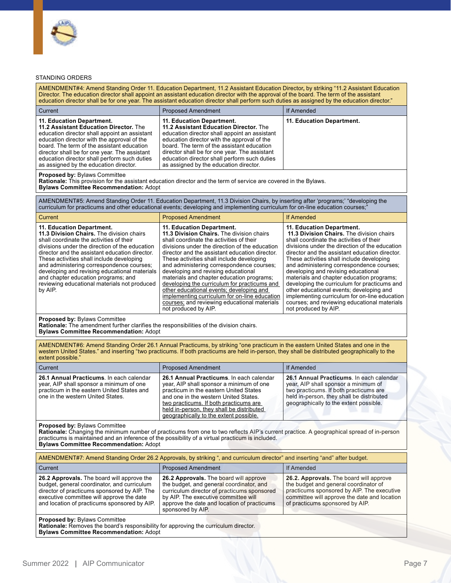

#### STANDING ORDERS

| AMENDMENT#4: Amend Standing Order 11. Education Department, 11.2 Assistant Education Director, by striking "11.2 Assistant Education<br>Director. The education director shall appoint an assistant education director with the approval of the board. The term of the assistant<br>education director shall be for one year. The assistant education director shall perform such duties as assigned by the education director."                                    |                                                                                                                                                                                                                                                                                                                                                                                                                                                                                                                                                                                                                           |                                                                                                                                                                                                                                                                                                                                                                                                                                                                                                                                                                                                                           |  |  |
|---------------------------------------------------------------------------------------------------------------------------------------------------------------------------------------------------------------------------------------------------------------------------------------------------------------------------------------------------------------------------------------------------------------------------------------------------------------------|---------------------------------------------------------------------------------------------------------------------------------------------------------------------------------------------------------------------------------------------------------------------------------------------------------------------------------------------------------------------------------------------------------------------------------------------------------------------------------------------------------------------------------------------------------------------------------------------------------------------------|---------------------------------------------------------------------------------------------------------------------------------------------------------------------------------------------------------------------------------------------------------------------------------------------------------------------------------------------------------------------------------------------------------------------------------------------------------------------------------------------------------------------------------------------------------------------------------------------------------------------------|--|--|
| Current                                                                                                                                                                                                                                                                                                                                                                                                                                                             | <b>Proposed Amendment</b>                                                                                                                                                                                                                                                                                                                                                                                                                                                                                                                                                                                                 | If Amended                                                                                                                                                                                                                                                                                                                                                                                                                                                                                                                                                                                                                |  |  |
| 11. Education Department.<br>11.2 Assistant Education Director. The<br>education director shall appoint an assistant<br>education director with the approval of the<br>board. The term of the assistant education<br>director shall be for one year. The assistant<br>education director shall perform such duties<br>as assigned by the education director.                                                                                                        | 11. Education Department.<br>11.2 Assistant Education Director. The<br>education director shall appoint an assistant<br>education director with the approval of the<br>board. The term of the assistant education<br>director shall be for one year. The assistant<br>education director shall perform such duties<br>as assigned by the education director.                                                                                                                                                                                                                                                              | 11. Education Department.                                                                                                                                                                                                                                                                                                                                                                                                                                                                                                                                                                                                 |  |  |
| Proposed by: Bylaws Committee<br>Rationale: This provision for the assistant education director and the term of service are covered in the Bylaws.<br><b>Bylaws Committee Recommendation: Adopt</b>                                                                                                                                                                                                                                                                 |                                                                                                                                                                                                                                                                                                                                                                                                                                                                                                                                                                                                                           |                                                                                                                                                                                                                                                                                                                                                                                                                                                                                                                                                                                                                           |  |  |
|                                                                                                                                                                                                                                                                                                                                                                                                                                                                     | AMENDMENT#5: Amend Standing Order 11. Education Department, 11.3 Division Chairs, by inserting after 'programs;' "developing the<br>curriculum for practicums and other educational events; developing and implementing curriculum for on-line education courses;"                                                                                                                                                                                                                                                                                                                                                        |                                                                                                                                                                                                                                                                                                                                                                                                                                                                                                                                                                                                                           |  |  |
| Current                                                                                                                                                                                                                                                                                                                                                                                                                                                             | <b>Proposed Amendment</b>                                                                                                                                                                                                                                                                                                                                                                                                                                                                                                                                                                                                 | <b>If Amended</b>                                                                                                                                                                                                                                                                                                                                                                                                                                                                                                                                                                                                         |  |  |
| 11. Education Department.<br>11.3 Division Chairs. The division chairs<br>shall coordinate the activities of their<br>divisions under the direction of the education<br>director and the assistant education director.<br>These activities shall include developing<br>and administering correspondence courses;<br>developing and revising educational materials<br>and chapter education programs; and<br>reviewing educational materials not produced<br>by AIP. | 11. Education Department.<br>11.3 Division Chairs. The division chairs<br>shall coordinate the activities of their<br>divisions under the direction of the education<br>director and the assistant education director.<br>These activities shall include developing<br>and administering correspondence courses;<br>developing and revising educational<br>materials and chapter education programs;<br>developing the curriculum for practicums and<br>other educational events; developing and<br>implementing curriculum for on-line education<br>courses; and reviewing educational materials<br>not produced by AIP. | 11. Education Department.<br>11.3 Division Chairs. The division chairs<br>shall coordinate the activities of their<br>divisions under the direction of the education<br>director and the assistant education director.<br>These activities shall include developing<br>and administering correspondence courses;<br>developing and revising educational<br>materials and chapter education programs;<br>developing the curriculum for practicums and<br>other educational events; developing and<br>implementing curriculum for on-line education<br>courses; and reviewing educational materials<br>not produced by AIP. |  |  |
| Proposed by: Bylaws Committee<br>Rationale: The amendment further clarifies the responsibilities of the division chairs.<br><b>Bylaws Committee Recommendation: Adopt</b>                                                                                                                                                                                                                                                                                           |                                                                                                                                                                                                                                                                                                                                                                                                                                                                                                                                                                                                                           |                                                                                                                                                                                                                                                                                                                                                                                                                                                                                                                                                                                                                           |  |  |
| extent possible."                                                                                                                                                                                                                                                                                                                                                                                                                                                   | AMENDMENT#6: Amend Standing Order 26.1 Annual Practicums, by striking "one practicum in the eastern United States and one in the<br>western United States." and inserting "two practicums. If both practicums are held in-person, they shall be distributed geographically to the                                                                                                                                                                                                                                                                                                                                         |                                                                                                                                                                                                                                                                                                                                                                                                                                                                                                                                                                                                                           |  |  |
| Current                                                                                                                                                                                                                                                                                                                                                                                                                                                             | <b>Proposed Amendment</b>                                                                                                                                                                                                                                                                                                                                                                                                                                                                                                                                                                                                 | <b>If Amended</b>                                                                                                                                                                                                                                                                                                                                                                                                                                                                                                                                                                                                         |  |  |
| 26.1 Annual Practicums. In each calendar<br>year, AIP shall sponsor a minimum of one<br>practicum in the eastern United States and<br>one in the western United States.                                                                                                                                                                                                                                                                                             | 26.1 Annual Practicums. In each calendar<br>year, AIP shall sponsor a minimum of one<br>practicum in the eastern United States<br>and one in the western United States.<br>two practicums. If both practicums are<br>held in-person, they shall be distributed<br>geographically to the extent possible.                                                                                                                                                                                                                                                                                                                  | 26.1 Annual Practicums. In each calendar<br>year, AIP shall sponsor a minimum of<br>two practicums. If both practicums are<br>held in-person, they shall be distributed<br>geographically to the extent possible.                                                                                                                                                                                                                                                                                                                                                                                                         |  |  |
| <b>Proposed by: Bylaws Committee</b><br>Rationale: Changing the minimum number of practicums from one to two reflects AIP's current practice. A geographical spread of in-person<br>practicums is maintained and an inference of the possibility of a virtual practicum is included.<br><b>Bylaws Committee Recommendation: Adopt</b>                                                                                                                               |                                                                                                                                                                                                                                                                                                                                                                                                                                                                                                                                                                                                                           |                                                                                                                                                                                                                                                                                                                                                                                                                                                                                                                                                                                                                           |  |  |
| AMENDMENT#7: Amend Standing Order 26.2 Approvals, by striking ", and curriculum director" and inserting "and" after budget.                                                                                                                                                                                                                                                                                                                                         |                                                                                                                                                                                                                                                                                                                                                                                                                                                                                                                                                                                                                           |                                                                                                                                                                                                                                                                                                                                                                                                                                                                                                                                                                                                                           |  |  |
| Current                                                                                                                                                                                                                                                                                                                                                                                                                                                             | <b>Proposed Amendment</b>                                                                                                                                                                                                                                                                                                                                                                                                                                                                                                                                                                                                 | <b>If Amended</b>                                                                                                                                                                                                                                                                                                                                                                                                                                                                                                                                                                                                         |  |  |
| 26.2 Approvals. The board will approve the<br>budget, general coordinator, and curriculum<br>director of practicums sponsored by AIP. The<br>executive committee will approve the date<br>and location of practicums sponsored by AIP.                                                                                                                                                                                                                              | 26.2 Approvals. The board will approve<br>the budget, and general coordinator, and<br>curriculum director of practicums sponsored<br>by AIP. The executive committee will<br>approve the date and location of practicums<br>sponsored by AIP.                                                                                                                                                                                                                                                                                                                                                                             | 26.2. Approvals. The board will approve<br>the budget and general coordinator of<br>practicums sponsored by AIP. The executive<br>committee will approve the date and location<br>of practicums sponsored by AIP.                                                                                                                                                                                                                                                                                                                                                                                                         |  |  |
| <b>Proposed by: Bylaws Committee</b><br>Rationale: Removes the board's responsibility for approving the curriculum director.<br><b>Bylaws Committee Recommendation: Adopt</b>                                                                                                                                                                                                                                                                                       |                                                                                                                                                                                                                                                                                                                                                                                                                                                                                                                                                                                                                           |                                                                                                                                                                                                                                                                                                                                                                                                                                                                                                                                                                                                                           |  |  |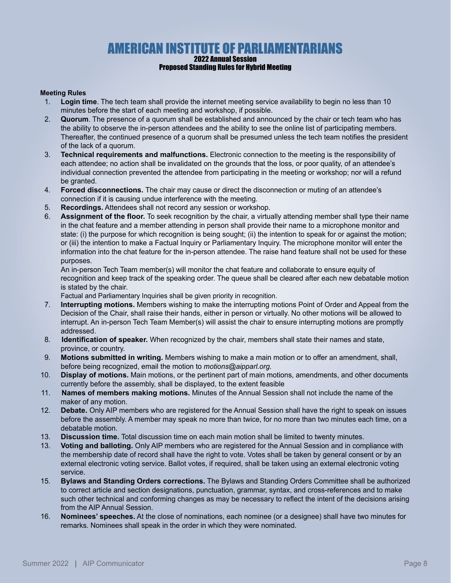## AMERICAN INSTITUTE OF PARLIAMENTARIANS

#### 2022 Annual Session Proposed Standing Rules for Hybrid Meeting

#### **Meeting Rules**

- 1. **Login time**. The tech team shall provide the internet meeting service availability to begin no less than 10 minutes before the start of each meeting and workshop, if possible.
- 2. **Quorum**. The presence of a quorum shall be established and announced by the chair or tech team who has the ability to observe the in-person attendees and the ability to see the online list of participating members. Thereafter, the continued presence of a quorum shall be presumed unless the tech team notifies the president of the lack of a quorum.
- 3. **Technical requirements and malfunctions.** Electronic connection to the meeting is the responsibility of each attendee; no action shall be invalidated on the grounds that the loss, or poor quality, of an attendee's individual connection prevented the attendee from participating in the meeting or workshop; nor will a refund be granted.
- 4. **Forced disconnections.** The chair may cause or direct the disconnection or muting of an attendee's connection if it is causing undue interference with the meeting.
- 5. **Recordings.** Attendees shall not record any session or workshop.
- 6. **Assignment of the floor.** To seek recognition by the chair, a virtually attending member shall type their name in the chat feature and a member attending in person shall provide their name to a microphone monitor and state: (i) the purpose for which recognition is being sought; (ii) the intention to speak for or against the motion; or (iii) the intention to make a Factual Inquiry or Parliamentary Inquiry. The microphone monitor will enter the information into the chat feature for the in-person attendee. The raise hand feature shall not be used for these purposes.

 An in-person Tech Team member(s) will monitor the chat feature and collaborate to ensure equity of recognition and keep track of the speaking order. The queue shall be cleared after each new debatable motion is stated by the chair.

Factual and Parliamentary Inquiries shall be given priority in recognition.

- 7. **Interrupting motions.** Members wishing to make the interrupting motions Point of Order and Appeal from the Decision of the Chair, shall raise their hands, either in person or virtually. No other motions will be allowed to interrupt. An in-person Tech Team Member(s) will assist the chair to ensure interrupting motions are promptly addressed.
- 8. **Identification of speaker.** When recognized by the chair, members shall state their names and state, province, or country.
- 9. **Motions submitted in writing.** Members wishing to make a main motion or to offer an amendment, shall, before being recognized, email the motion to *motions@aipparl.org.*
- 10. **Display of motions.** Main motions, or the pertinent part of main motions, amendments, and other documents currently before the assembly, shall be displayed, to the extent feasible
- 11. **Names of members making motions.** Minutes of the Annual Session shall not include the name of the maker of any motion.
- 12. **Debate.** Only AIP members who are registered for the Annual Session shall have the right to speak on issues before the assembly. A member may speak no more than twice, for no more than two minutes each time, on a debatable motion.
- 13. **Discussion time.** Total discussion time on each main motion shall be limited to twenty minutes.
- 13. **Voting and balloting.** Only AIP members who are registered for the Annual Session and in compliance with the membership date of record shall have the right to vote. Votes shall be taken by general consent or by an external electronic voting service. Ballot votes, if required, shall be taken using an external electronic voting service.
- 15. **Bylaws and Standing Orders corrections.** The Bylaws and Standing Orders Committee shall be authorized to correct article and section designations, punctuation, grammar, syntax, and cross-references and to make such other technical and conforming changes as may be necessary to reflect the intent of the decisions arising from the AIP Annual Session.
- 16. **Nominees' speeches.** At the close of nominations, each nominee (or a designee) shall have two minutes for remarks. Nominees shall speak in the order in which they were nominated.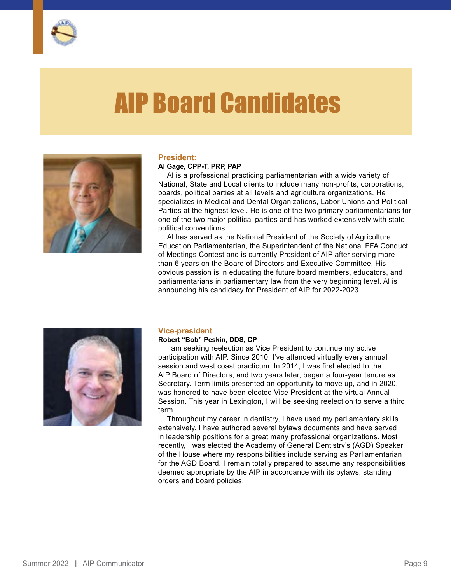

## AIP Board Candidates



#### **President:**

#### **Al Gage, CPP-T, PRP, PAP**

Al is a professional practicing parliamentarian with a wide variety of National, State and Local clients to include many non-profits, corporations, boards, political parties at all levels and agriculture organizations. He specializes in Medical and Dental Organizations, Labor Unions and Political Parties at the highest level. He is one of the two primary parliamentarians for one of the two major political parties and has worked extensively with state political conventions.

Al has served as the National President of the Society of Agriculture Education Parliamentarian, the Superintendent of the National FFA Conduct of Meetings Contest and is currently President of AIP after serving more than 6 years on the Board of Directors and Executive Committee. His obvious passion is in educating the future board members, educators, and parliamentarians in parliamentary law from the very beginning level. Al is announcing his candidacy for President of AIP for 2022-2023.



#### **Vice-president**

#### **Robert "Bob" Peskin, DDS, CP**

I am seeking reelection as Vice President to continue my active participation with AIP. Since 2010, I've attended virtually every annual session and west coast practicum. In 2014, I was first elected to the AIP Board of Directors, and two years later, began a four-year tenure as Secretary. Term limits presented an opportunity to move up, and in 2020, was honored to have been elected Vice President at the virtual Annual Session. This year in Lexington, I will be seeking reelection to serve a third term.

Throughout my career in dentistry, I have used my parliamentary skills extensively. I have authored several bylaws documents and have served in leadership positions for a great many professional organizations. Most recently, I was elected the Academy of General Dentistry's (AGD) Speaker of the House where my responsibilities include serving as Parliamentarian for the AGD Board. I remain totally prepared to assume any responsibilities deemed appropriate by the AIP in accordance with its bylaws, standing orders and board policies.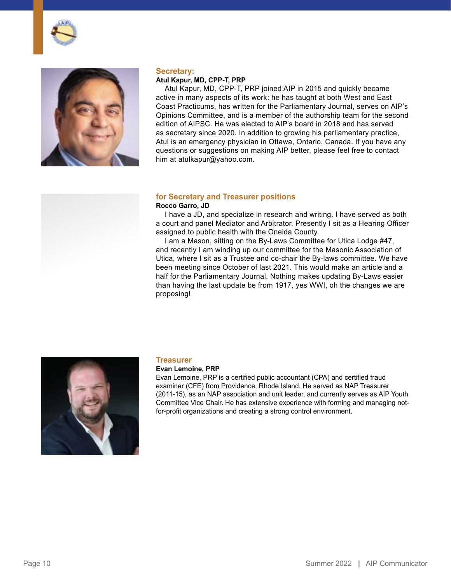



#### **Secretary:**

#### **Atul Kapur, MD, CPP-T, PRP**

Atul Kapur, MD, CPP-T, PRP joined AIP in 2015 and quickly became active in many aspects of its work: he has taught at both West and East Coast Practicums, has written for the Parliamentary Journal, serves on AIP's Opinions Committee, and is a member of the authorship team for the second edition of AIPSC. He was elected to AIP's board in 2018 and has served as secretary since 2020. In addition to growing his parliamentary practice, Atul is an emergency physician in Ottawa, Ontario, Canada. If you have any questions or suggestions on making AIP better, please feel free to contact him at [atulkapur@yahoo.com](mailto:atulkapur@yahoo.com).

#### **for Secretary and Treasurer positions**

#### **Rocco Garro, JD**

I have a JD, and specialize in research and writing. I have served as both a court and panel Mediator and Arbitrator. Presently I sit as a Hearing Officer assigned to public health with the Oneida County.

I am a Mason, sitting on the By-Laws Committee for Utica Lodge #47, and recently I am winding up our committee for the Masonic Association of Utica, where I sit as a Trustee and co-chair the By-laws committee. We have been meeting since October of last 2021. This would make an article and a half for the Parliamentary Journal. Nothing makes updating By-Laws easier than having the last update be from 1917, yes WWI, oh the changes we are proposing!



#### **Treasurer**

#### **Evan Lemoine, PRP**

Evan Lemoine, PRP is a certified public accountant (CPA) and certified fraud examiner (CFE) from Providence, Rhode Island. He served as NAP Treasurer (2011-15), as an NAP association and unit leader, and currently serves as AIP Youth Committee Vice Chair. He has extensive experience with forming and managing notfor-profit organizations and creating a strong control environment.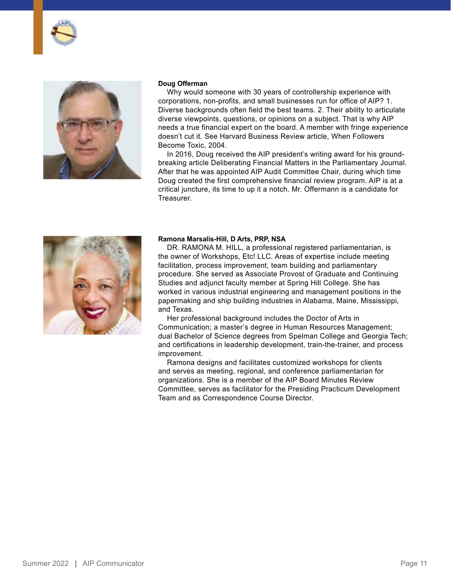



#### **Doug Offerman**

Why would someone with 30 years of controllership experience with corporations, non-profits, and small businesses run for office of AIP? 1. Diverse backgrounds often field the best teams. 2. Their ability to articulate diverse viewpoints, questions, or opinions on a subject. That is why AIP needs a true financial expert on the board. A member with fringe experience doesn't cut it. See Harvard Business Review article, When Followers Become Toxic, 2004.

In 2016, Doug received the AIP president's writing award for his groundbreaking article Deliberating Financial Matters in the Parliamentary Journal. After that he was appointed AIP Audit Committee Chair, during which time Doug created the first comprehensive financial review program. AIP is at a critical juncture, its time to up it a notch. Mr. Offermann is a candidate for Treasurer.



#### **Ramona Marsalis-Hill, D Arts, PRP, NSA**

DR. RAMONA M. HILL, a professional registered parliamentarian, is the owner of Workshops, Etc! LLC. Areas of expertise include meeting facilitation, process improvement, team building and parliamentary procedure. She served as Associate Provost of Graduate and Continuing Studies and adjunct faculty member at Spring Hill College. She has worked in various industrial engineering and management positions in the papermaking and ship building industries in Alabama, Maine, Mississippi, and Texas.

Her professional background includes the Doctor of Arts in Communication; a master's degree in Human Resources Management; dual Bachelor of Science degrees from Spelman College and Georgia Tech; and certifications in leadership development, train-the-trainer, and process improvement.

Ramona designs and facilitates customized workshops for clients and serves as meeting, regional, and conference parliamentarian for organizations. She is a member of the AIP Board Minutes Review Committee, serves as facilitator for the Presiding Practicum Development Team and as Correspondence Course Director.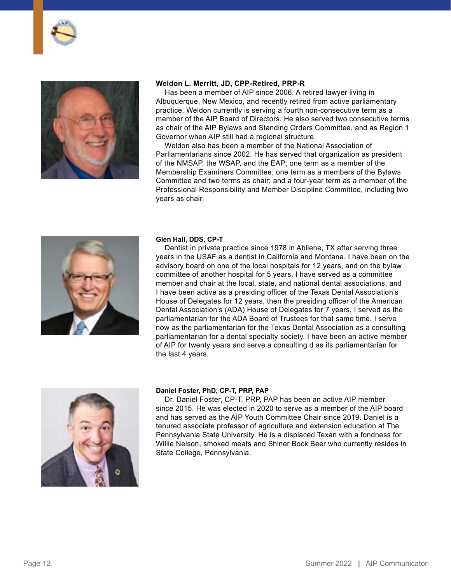



#### **Weldon L. Merritt, JD, CPP-Retired, PRP-R**

Has been a member of AIP since 2006. A retired lawyer living in Albuquerque, New Mexico, and recently retired from active parliamentary practice, Weldon currently is serving a fourth non-consecutive term as a member of the AIP Board of Directors. He also served two consecutive terms as chair of the AIP Bylaws and Standing Orders Committee, and as Region 1 Governor when AIP still had a regional structure.

Weldon also has been a member of the National Association of Parliamentarians since 2002. He has served that organization as president of the NMSAP, the WSAP, and the EAP; one term as a member of the Membership Examiners Committee; one term as a members of the Bylaws Committee and two terms as chair; and a four-year term as a member of the Professional Responsibility and Member Discipline Committee, including two years as chair.



#### **Glen Hall, DDS, CP-T**

Dentist in private practice since 1978 in Abilene, TX after serving three years in the USAF as a dentist in California and Montana. I have been on the advisory board on one of the local hospitals for 12 years, and on the bylaw committee of another hospital for 5 years. I have served as a committee member and chair at the local, state, and national dental associations, and I have been active as a presiding officer of the Texas Dental Association's House of Delegates for 12 years, then the presiding officer of the American Dental Association's (ADA) House of Delegates for 7 years. I served as the parliamentarian for the ADA Board of Trustees for that same time. I serve now as the parliamentarian for the Texas Dental Association as a consulting parliamentarian for a dental specialty society. I have been an active member of AIP for twenty years and serve a consulting d as its parliamentarian for the last 4 years.



#### **Daniel Foster, PhD, CP-T, PRP, PAP**

Dr. Daniel Foster, CP-T, PRP, PAP has been an active AIP member since 2015. He was elected in 2020 to serve as a member of the AIP board and has served as the AIP Youth Committee Chair since 2019. Daniel is a tenured associate professor of agriculture and extension education at The Pennsylvania State University. He is a displaced Texan with a fondness for Willie Nelson, smoked meats and Shiner Bock Beer who currently resides in State College, Pennsylvania.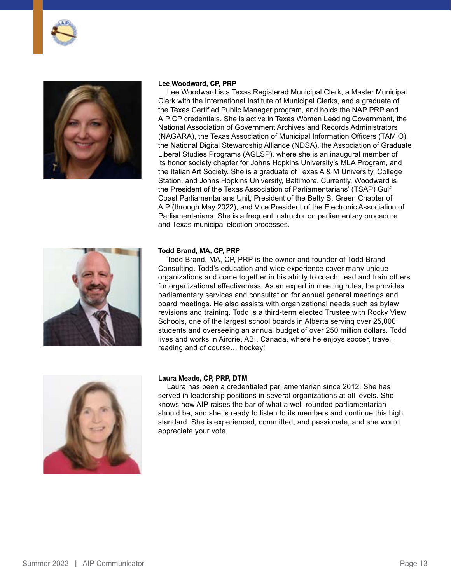



#### **Lee Woodward, CP, PRP**

Lee Woodward is a Texas Registered Municipal Clerk, a Master Municipal Clerk with the International Institute of Municipal Clerks, and a graduate of the Texas Certified Public Manager program, and holds the NAP PRP and AIP CP credentials. She is active in Texas Women Leading Government, the National Association of Government Archives and Records Administrators (NAGARA), the Texas Association of Municipal Information Officers (TAMIO), the National Digital Stewardship Alliance (NDSA), the Association of Graduate Liberal Studies Programs (AGLSP), where she is an inaugural member of its honor society chapter for Johns Hopkins University's MLA Program, and the Italian Art Society. She is a graduate of Texas A & M University, College Station, and Johns Hopkins University, Baltimore. Currently, Woodward is the President of the Texas Association of Parliamentarians' (TSAP) Gulf Coast Parliamentarians Unit, President of the Betty S. Green Chapter of AIP (through May 2022), and Vice President of the Electronic Association of Parliamentarians. She is a frequent instructor on parliamentary procedure and Texas municipal election processes.



#### **Todd Brand, MA, CP, PRP**

Todd Brand, MA, CP, PRP is the owner and founder of Todd Brand Consulting. Todd's education and wide experience cover many unique organizations and come together in his ability to coach, lead and train others for organizational effectiveness. As an expert in meeting rules, he provides parliamentary services and consultation for annual general meetings and board meetings. He also assists with organizational needs such as bylaw revisions and training. Todd is a third-term elected Trustee with Rocky View Schools, one of the largest school boards in Alberta serving over 25,000 students and overseeing an annual budget of over 250 million dollars. Todd lives and works in Airdrie, AB , Canada, where he enjoys soccer, travel, reading and of course… hockey!



#### **Laura Meade, CP, PRP, DTM**

Laura has been a credentialed parliamentarian since 2012. She has served in leadership positions in several organizations at all levels. She knows how AIP raises the bar of what a well-rounded parliamentarian should be, and she is ready to listen to its members and continue this high standard. She is experienced, committed, and passionate, and she would appreciate your vote.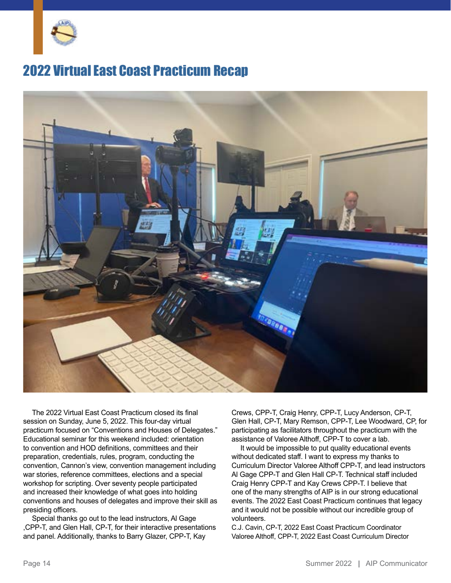

## 2022 Virtual East Coast Practicum Recap



The 2022 Virtual East Coast Practicum closed its final session on Sunday, June 5, 2022. This four-day virtual practicum focused on "Conventions and Houses of Delegates." Educational seminar for this weekend included: orientation to convention and HOD definitions, committees and their preparation, credentials, rules, program, conducting the convention, Cannon's view, convention management including war stories, reference committees, elections and a special workshop for scripting. Over seventy people participated and increased their knowledge of what goes into holding conventions and houses of delegates and improve their skill as presiding officers.

Special thanks go out to the lead instructors, Al Gage ,CPP-T, and Glen Hall, CP-T, for their interactive presentations and panel. Additionally, thanks to Barry Glazer, CPP-T, Kay

Crews, CPP-T, Craig Henry, CPP-T, Lucy Anderson, CP-T, Glen Hall, CP-T, Mary Remson, CPP-T, Lee Woodward, CP, for participating as facilitators throughout the practicum with the assistance of Valoree Althoff, CPP-T to cover a lab.

It would be impossible to put quality educational events without dedicated staff. I want to express my thanks to Curriculum Director Valoree Althoff CPP-T, and lead instructors Al Gage CPP-T and Glen Hall CP-T. Technical staff included Craig Henry CPP-T and Kay Crews CPP-T. I believe that one of the many strengths of AIP is in our strong educational events. The 2022 East Coast Practicum continues that legacy and it would not be possible without our incredible group of volunteers.

C.J. Cavin, CP-T, 2022 East Coast Practicum Coordinator Valoree Althoff, CPP-T, 2022 East Coast Curriculum Director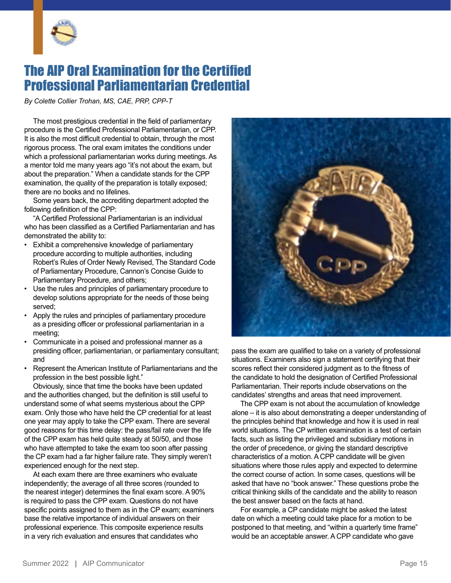

## The AIP Oral Examination for the Certified Professional Parliamentarian Credential

*By Colette Collier Trohan, MS, CAE, PRP, CPP-T*

The most prestigious credential in the field of parliamentary procedure is the Certified Professional Parliamentarian, or CPP. It is also the most difficult credential to obtain, through the most rigorous process. The oral exam imitates the conditions under which a professional parliamentarian works during meetings. As a mentor told me many years ago "it's not about the exam, but about the preparation." When a candidate stands for the CPP examination, the quality of the preparation is totally exposed; there are no books and no lifelines.

Some years back, the accrediting department adopted the following definition of the CPP:

"A Certified Professional Parliamentarian is an individual who has been classified as a Certified Parliamentarian and has demonstrated the ability to:

- Exhibit a comprehensive knowledge of parliamentary procedure according to multiple authorities, including Robert's Rules of Order Newly Revised, The Standard Code of Parliamentary Procedure, Cannon's Concise Guide to Parliamentary Procedure, and others;
- Use the rules and principles of parliamentary procedure to develop solutions appropriate for the needs of those being served;
- Apply the rules and principles of parliamentary procedure as a presiding officer or professional parliamentarian in a meeting;
- Communicate in a poised and professional manner as a presiding officer, parliamentarian, or parliamentary consultant; and
- Represent the American Institute of Parliamentarians and the profession in the best possible light."

Obviously, since that time the books have been updated and the authorities changed, but the definition is still useful to understand some of what seems mysterious about the CPP exam. Only those who have held the CP credential for at least one year may apply to take the CPP exam. There are several good reasons for this time delay: the pass/fail rate over the life of the CPP exam has held quite steady at 50/50, and those who have attempted to take the exam too soon after passing the CP exam had a far higher failure rate. They simply weren't experienced enough for the next step.

At each exam there are three examiners who evaluate independently; the average of all three scores (rounded to the nearest integer) determines the final exam score. A 90% is required to pass the CPP exam. Questions do not have specific points assigned to them as in the CP exam; examiners base the relative importance of individual answers on their professional experience. This composite experience results in a very rich evaluation and ensures that candidates who



pass the exam are qualified to take on a variety of professional situations. Examiners also sign a statement certifying that their scores reflect their considered judgment as to the fitness of the candidate to hold the designation of Certified Professional Parliamentarian. Their reports include observations on the candidates' strengths and areas that need improvement.

The CPP exam is not about the accumulation of knowledge alone – it is also about demonstrating a deeper understanding of the principles behind that knowledge and how it is used in real world situations. The CP written examination is a test of certain facts, such as listing the privileged and subsidiary motions in the order of precedence, or giving the standard descriptive characteristics of a motion. A CPP candidate will be given situations where those rules apply and expected to determine the correct course of action. In some cases, questions will be asked that have no "book answer." These questions probe the critical thinking skills of the candidate and the ability to reason the best answer based on the facts at hand.

For example, a CP candidate might be asked the latest date on which a meeting could take place for a motion to be postponed to that meeting, and "within a quarterly time frame" would be an acceptable answer. A CPP candidate who gave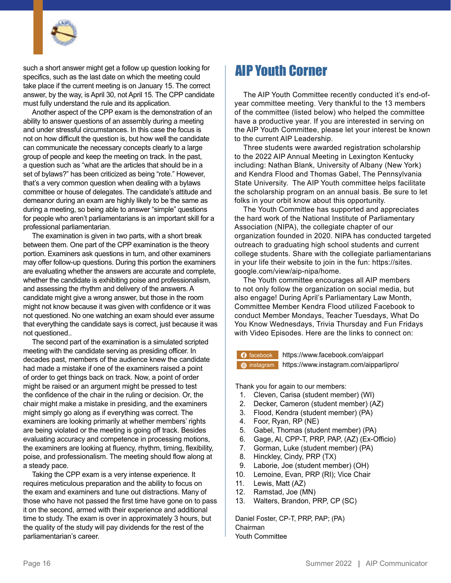

such a short answer might get a follow up question looking for specifics, such as the last date on which the meeting could take place if the current meeting is on January 15. The correct answer, by the way, is April 30, not April 15. The CPP candidate must fully understand the rule and its application.

Another aspect of the CPP exam is the demonstration of an ability to answer questions of an assembly during a meeting and under stressful circumstances. In this case the focus is not on how difficult the question is, but how well the candidate can communicate the necessary concepts clearly to a large group of people and keep the meeting on track. In the past, a question such as "what are the articles that should be in a set of bylaws?" has been criticized as being "rote." However, that's a very common question when dealing with a bylaws committee or house of delegates. The candidate's attitude and demeanor during an exam are highly likely to be the same as during a meeting, so being able to answer "simple" questions for people who aren't parliamentarians is an important skill for a professional parliamentarian.

The examination is given in two parts, with a short break between them. One part of the CPP examination is the theory portion. Examiners ask questions in turn, and other examiners may offer follow-up questions. During this portion the examiners are evaluating whether the answers are accurate and complete, whether the candidate is exhibiting poise and professionalism, and assessing the rhythm and delivery of the answers. A candidate might give a wrong answer, but those in the room might not know because it was given with confidence or it was not questioned. No one watching an exam should ever assume that everything the candidate says is correct, just because it was not questioned..

The second part of the examination is a simulated scripted meeting with the candidate serving as presiding officer. In decades past, members of the audience knew the candidate had made a mistake if one of the examiners raised a point of order to get things back on track. Now, a point of order might be raised or an argument might be pressed to test the confidence of the chair in the ruling or decision. Or, the chair might make a mistake in presiding, and the examiners might simply go along as if everything was correct. The examiners are looking primarily at whether members' rights are being violated or the meeting is going off track. Besides evaluating accuracy and competence in processing motions, the examiners are looking at fluency, rhythm, timing, flexibility, poise, and professionalism. The meeting should flow along at a steady pace.

Taking the CPP exam is a very intense experience. It requires meticulous preparation and the ability to focus on the exam and examiners and tune out distractions. Many of those who have not passed the first time have gone on to pass it on the second, armed with their experience and additional time to study. The exam is over in approximately 3 hours, but the quality of the study will pay dividends for the rest of the parliamentarian's career.

## AIP Youth Corner

The AIP Youth Committee recently conducted it's end-ofyear committee meeting. Very thankful to the 13 members of the committee (listed below) who helped the committee have a productive year. If you are interested in serving on the AIP Youth Committee, please let your interest be known to the current AIP Leadership.

Three students were awarded registration scholarship to the 2022 AIP Annual Meeting in Lexington Kentucky including: Nathan Blank, University of Albany (New York) and Kendra Flood and Thomas Gabel, The Pennsylvania State University. The AIP Youth committee helps facilitate the scholarship program on an annual basis. Be sure to let folks in your orbit know about this opportunity.

The Youth Committee has supported and appreciates the hard work of the National Institute of Parliamentary Association (NIPA), the collegiate chapter of our organization founded in 2020. NIPA has conducted targeted outreach to graduating high school students and current college students. Share with the collegiate parliamentarians in your life their website to join in the fun: [https://sites.](https://sites.google.com/view/aip-nipa/home) [google.com/view/aip-nipa/home.](https://sites.google.com/view/aip-nipa/home)

The Youth committee encourages all AIP members to not only follow the organization on social media, but also engage! During April's Parliamentary Law Month, Committee Member Kendra Flood utilized Facebook to conduct Member Mondays, Teacher Tuesdays, What Do You Know Wednesdays, Trivia Thursday and Fun Fridays with Video Episodes. Here are the links to connect on:

[instagram](https://www.instagram.com/aipparlipro/ 
) https://www.instagram.com/aipparlipro/ **[facebook](https://www.facebook.com/aipparl)** <https://www.facebook.com/aipparl>

Thank you for again to our members:

- 1. Cleven, Carisa (student member) (WI)
- 2. Decker, Cameron (student member) (AZ)
- 3. Flood, Kendra (student member) (PA)
- 4. Foor, Ryan, RP (NE)
- 5. Gabel, Thomas (student member) (PA)
- 6. Gage, Al, CPP-T, PRP, PAP, (AZ) (Ex-Officio)
- 7. Gorman, Luke (student member) (PA)
- 8. Hinckley, Cindy, PRP (TX)
- 9. Laborie, Joe (student member) (OH)
- 10. Lemoine, Evan, PRP (RI); Vice Chair
- 11. Lewis, Matt (AZ)
- 12. Ramstad, Joe (MN)
- 13. Walters, Brandon, PRP, CP (SC)

Daniel Foster, CP-T, PRP, PAP; (PA) Chairman Youth Committee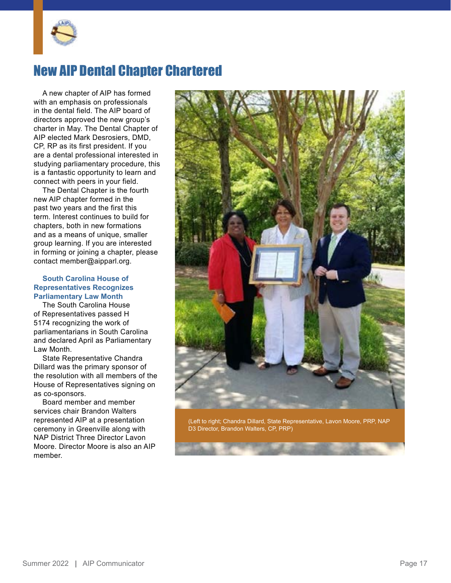

## New AIP Dental Chapter Chartered

A new chapter of AIP has formed with an emphasis on professionals in the dental field. The AIP board of directors approved the new group's charter in May. The Dental Chapter of AIP elected Mark Desrosiers, DMD, CP, RP as its first president. If you are a dental professional interested in studying parliamentary procedure, this is a fantastic opportunity to learn and connect with peers in your field.

The Dental Chapter is the fourth new AIP chapter formed in the past two years and the first this term. Interest continues to build for chapters, both in new formations and as a means of unique, smaller group learning. If you are interested in forming or joining a chapter, please contact [member@aipparl.org](mailto:member@aipparl.org).

#### **South Carolina House of Representatives Recognizes Parliamentary Law Month**

The South Carolina House of Representatives passed H 5174 recognizing the work of parliamentarians in South Carolina and declared April as Parliamentary Law Month.

State Representative Chandra Dillard was the primary sponsor of the resolution with all members of the House of Representatives signing on as co-sponsors.

Board member and member services chair Brandon Walters represented AIP at a presentation ceremony in Greenville along with NAP District Three Director Lavon Moore. Director Moore is also an AIP member.



(Left to right; Chandra Dillard, State Representative, Lavon Moore, PRP, NAP D3 Director, Brandon Walters, CP, PRP)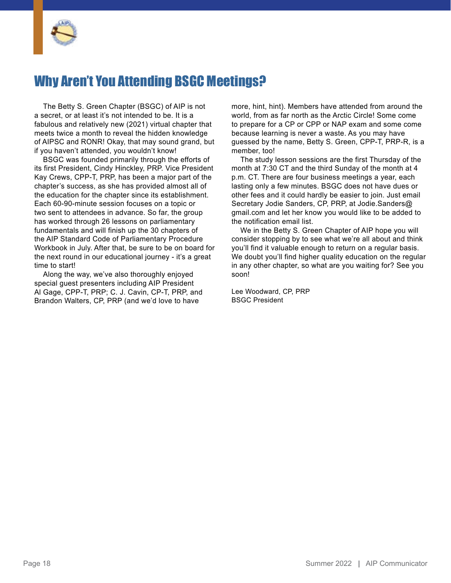

## Why Aren't You Attending BSGC Meetings?

The Betty S. Green Chapter (BSGC) of AIP is not a secret, or at least it's not intended to be. It is a fabulous and relatively new (2021) virtual chapter that meets twice a month to reveal the hidden knowledge of AIPSC and RONR! Okay, that may sound grand, but if you haven't attended, you wouldn't know!

BSGC was founded primarily through the efforts of its first President, Cindy Hinckley, PRP. Vice President Kay Crews, CPP-T, PRP, has been a major part of the chapter's success, as she has provided almost all of the education for the chapter since its establishment. Each 60-90-minute session focuses on a topic or two sent to attendees in advance. So far, the group has worked through 26 lessons on parliamentary fundamentals and will finish up the 30 chapters of the AIP Standard Code of Parliamentary Procedure Workbook in July. After that, be sure to be on board for the next round in our educational journey - it's a great time to start!

Along the way, we've also thoroughly enjoyed special guest presenters including AIP President Al Gage, CPP-T, PRP; C. J. Cavin, CP-T, PRP, and Brandon Walters, CP, PRP (and we'd love to have

more, hint, hint). Members have attended from around the world, from as far north as the Arctic Circle! Some come to prepare for a CP or CPP or NAP exam and some come because learning is never a waste. As you may have guessed by the name, Betty S. Green, CPP-T, PRP-R, is a member, too!

The study lesson sessions are the first Thursday of the month at 7:30 CT and the third Sunday of the month at 4 p.m. CT. There are four business meetings a year, each lasting only a few minutes. BSGC does not have dues or other fees and it could hardly be easier to join. Just email Secretary Jodie Sanders, CP, PRP, at [Jodie.Sanders@](mailto:Jodie.Sanders@gmail.com) [gmail.com](mailto:Jodie.Sanders@gmail.com) and let her know you would like to be added to the notification email list.

We in the Betty S. Green Chapter of AIP hope you will consider stopping by to see what we're all about and think you'll find it valuable enough to return on a regular basis. We doubt you'll find higher quality education on the regular in any other chapter, so what are you waiting for? See you soon!

Lee Woodward, CP, PRP BSGC President